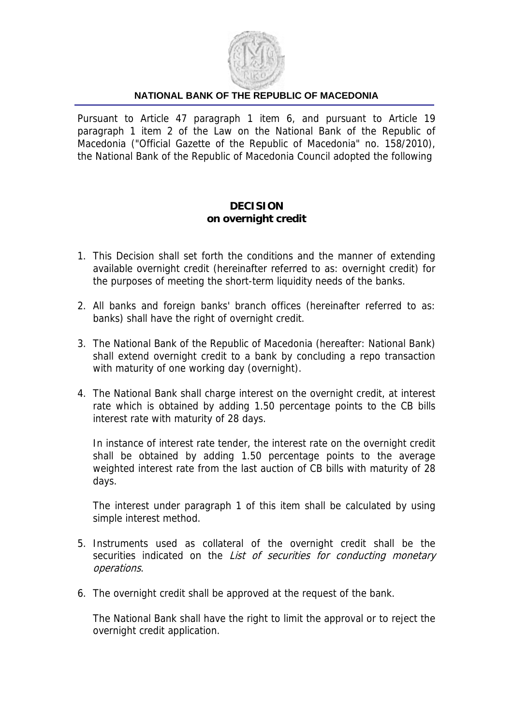

## **NATIONAL BANK OF THE REPUBLIC OF MACEDONIA**

Pursuant to Article 47 paragraph 1 item 6, and pursuant to Article 19 paragraph 1 item 2 of the Law on the National Bank of the Republic of Macedonia ("Official Gazette of the Republic of Macedonia" no. 158/2010), the National Bank of the Republic of Macedonia Council adopted the following

## **DECISION on overnight credit**

- 1. This Decision shall set forth the conditions and the manner of extending available overnight credit (hereinafter referred to as: overnight credit) for the purposes of meeting the short-term liquidity needs of the banks.
- 2. All banks and foreign banks' branch offices (hereinafter referred to as: banks) shall have the right of overnight credit.
- 3. The National Bank of the Republic of Macedonia (hereafter: National Bank) shall extend overnight credit to a bank by concluding a repo transaction with maturity of one working day (overnight).
- 4. The National Bank shall charge interest on the overnight credit, at interest rate which is obtained by adding 1.50 percentage points to the CB bills interest rate with maturity of 28 days.

In instance of interest rate tender, the interest rate on the overnight credit shall be obtained by adding 1.50 percentage points to the average weighted interest rate from the last auction of CB bills with maturity of 28 days.

The interest under paragraph 1 of this item shall be calculated by using simple interest method.

- 5. Instruments used as collateral of the overnight credit shall be the securities indicated on the List of securities for conducting monetary operations.
- 6. The overnight credit shall be approved at the request of the bank.

The National Bank shall have the right to limit the approval or to reject the overnight credit application.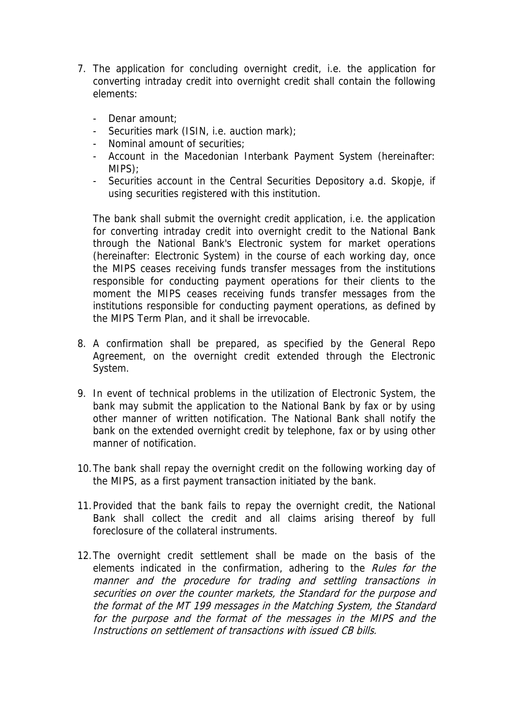- 7. The application for concluding overnight credit, i.e. the application for converting intraday credit into overnight credit shall contain the following elements:
	- Denar amount;
	- Securities mark (ISIN, i.e. auction mark);
	- Nominal amount of securities;
	- Account in the Macedonian Interbank Payment System (hereinafter: MIPS);
	- Securities account in the Central Securities Depository a.d. Skopje, if using securities registered with this institution.

The bank shall submit the overnight credit application, i.e. the application for converting intraday credit into overnight credit to the National Bank through the National Bank's Electronic system for market operations (hereinafter: Electronic System) in the course of each working day, once the MIPS ceases receiving funds transfer messages from the institutions responsible for conducting payment operations for their clients to the moment the MIPS ceases receiving funds transfer messages from the institutions responsible for conducting payment operations, as defined by the MIPS Term Plan, and it shall be irrevocable.

- 8. A confirmation shall be prepared, as specified by the General Repo Agreement, on the overnight credit extended through the Electronic System.
- 9. In event of technical problems in the utilization of Electronic System, the bank may submit the application to the National Bank by fax or by using other manner of written notification. The National Bank shall notify the bank on the extended overnight credit by telephone, fax or by using other manner of notification.
- 10.The bank shall repay the overnight credit on the following working day of the MIPS, as a first payment transaction initiated by the bank.
- 11.Provided that the bank fails to repay the overnight credit, the National Bank shall collect the credit and all claims arising thereof by full foreclosure of the collateral instruments.
- 12.The overnight credit settlement shall be made on the basis of the elements indicated in the confirmation, adhering to the Rules for the manner and the procedure for trading and settling transactions in securities on over the counter markets, the Standard for the purpose and the format of the MT 199 messages in the Matching System, the Standard for the purpose and the format of the messages in the MIPS and the Instructions on settlement of transactions with issued CB bills.